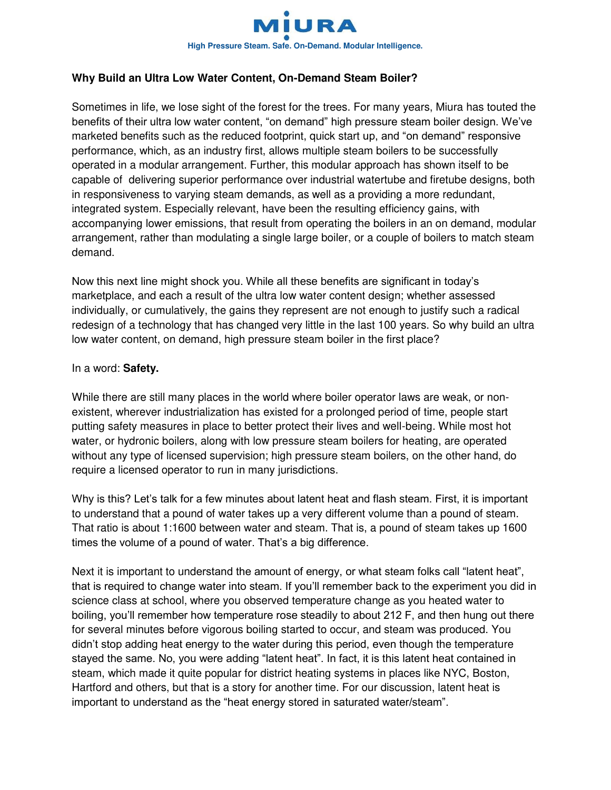

## **Why Build an Ultra Low Water Content, On-Demand Steam Boiler?**

Sometimes in life, we lose sight of the forest for the trees. For many years, Miura has touted the benefits of their ultra low water content, "on demand" high pressure steam boiler design. We've marketed benefits such as the reduced footprint, quick start up, and "on demand" responsive performance, which, as an industry first, allows multiple steam boilers to be successfully operated in a modular arrangement. Further, this modular approach has shown itself to be capable of delivering superior performance over industrial watertube and firetube designs, both in responsiveness to varying steam demands, as well as a providing a more redundant, integrated system. Especially relevant, have been the resulting efficiency gains, with accompanying lower emissions, that result from operating the boilers in an on demand, modular arrangement, rather than modulating a single large boiler, or a couple of boilers to match steam demand.

Now this next line might shock you. While all these benefits are significant in today's marketplace, and each a result of the ultra low water content design; whether assessed individually, or cumulatively, the gains they represent are not enough to justify such a radical redesign of a technology that has changed very little in the last 100 years. So why build an ultra low water content, on demand, high pressure steam boiler in the first place?

## In a word: **Safety.**

While there are still many places in the world where boiler operator laws are weak, or nonexistent, wherever industrialization has existed for a prolonged period of time, people start putting safety measures in place to better protect their lives and well-being. While most hot water, or hydronic boilers, along with low pressure steam boilers for heating, are operated without any type of licensed supervision; high pressure steam boilers, on the other hand, do require a licensed operator to run in many jurisdictions.

Why is this? Let's talk for a few minutes about latent heat and flash steam. First, it is important to understand that a pound of water takes up a very different volume than a pound of steam. That ratio is about 1:1600 between water and steam. That is, a pound of steam takes up 1600 times the volume of a pound of water. That's a big difference.

Next it is important to understand the amount of energy, or what steam folks call "latent heat", that is required to change water into steam. If you'll remember back to the experiment you did in science class at school, where you observed temperature change as you heated water to boiling, you'll remember how temperature rose steadily to about 212 F, and then hung out there for several minutes before vigorous boiling started to occur, and steam was produced. You didn't stop adding heat energy to the water during this period, even though the temperature stayed the same. No, you were adding "latent heat". In fact, it is this latent heat contained in steam, which made it quite popular for district heating systems in places like NYC, Boston, Hartford and others, but that is a story for another time. For our discussion, latent heat is important to understand as the "heat energy stored in saturated water/steam".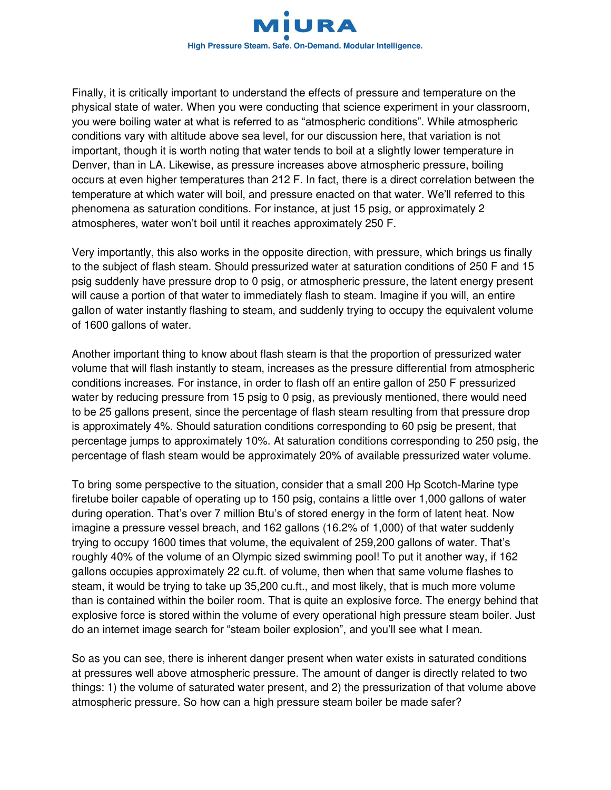

Finally, it is critically important to understand the effects of pressure and temperature on the physical state of water. When you were conducting that science experiment in your classroom, you were boiling water at what is referred to as "atmospheric conditions". While atmospheric conditions vary with altitude above sea level, for our discussion here, that variation is not important, though it is worth noting that water tends to boil at a slightly lower temperature in Denver, than in LA. Likewise, as pressure increases above atmospheric pressure, boiling occurs at even higher temperatures than 212 F. In fact, there is a direct correlation between the temperature at which water will boil, and pressure enacted on that water. We'll referred to this phenomena as saturation conditions. For instance, at just 15 psig, or approximately 2 atmospheres, water won't boil until it reaches approximately 250 F.

Very importantly, this also works in the opposite direction, with pressure, which brings us finally to the subject of flash steam. Should pressurized water at saturation conditions of 250 F and 15 psig suddenly have pressure drop to 0 psig, or atmospheric pressure, the latent energy present will cause a portion of that water to immediately flash to steam. Imagine if you will, an entire gallon of water instantly flashing to steam, and suddenly trying to occupy the equivalent volume of 1600 gallons of water.

Another important thing to know about flash steam is that the proportion of pressurized water volume that will flash instantly to steam, increases as the pressure differential from atmospheric conditions increases. For instance, in order to flash off an entire gallon of 250 F pressurized water by reducing pressure from 15 psig to 0 psig, as previously mentioned, there would need to be 25 gallons present, since the percentage of flash steam resulting from that pressure drop is approximately 4%. Should saturation conditions corresponding to 60 psig be present, that percentage jumps to approximately 10%. At saturation conditions corresponding to 250 psig, the percentage of flash steam would be approximately 20% of available pressurized water volume.

To bring some perspective to the situation, consider that a small 200 Hp Scotch-Marine type firetube boiler capable of operating up to 150 psig, contains a little over 1,000 gallons of water during operation. That's over 7 million Btu's of stored energy in the form of latent heat. Now imagine a pressure vessel breach, and 162 gallons (16.2% of 1,000) of that water suddenly trying to occupy 1600 times that volume, the equivalent of 259,200 gallons of water. That's roughly 40% of the volume of an Olympic sized swimming pool! To put it another way, if 162 gallons occupies approximately 22 cu.ft. of volume, then when that same volume flashes to steam, it would be trying to take up 35,200 cu.ft., and most likely, that is much more volume than is contained within the boiler room. That is quite an explosive force. The energy behind that explosive force is stored within the volume of every operational high pressure steam boiler. Just do an internet image search for "steam boiler explosion", and you'll see what I mean.

So as you can see, there is inherent danger present when water exists in saturated conditions at pressures well above atmospheric pressure. The amount of danger is directly related to two things: 1) the volume of saturated water present, and 2) the pressurization of that volume above atmospheric pressure. So how can a high pressure steam boiler be made safer?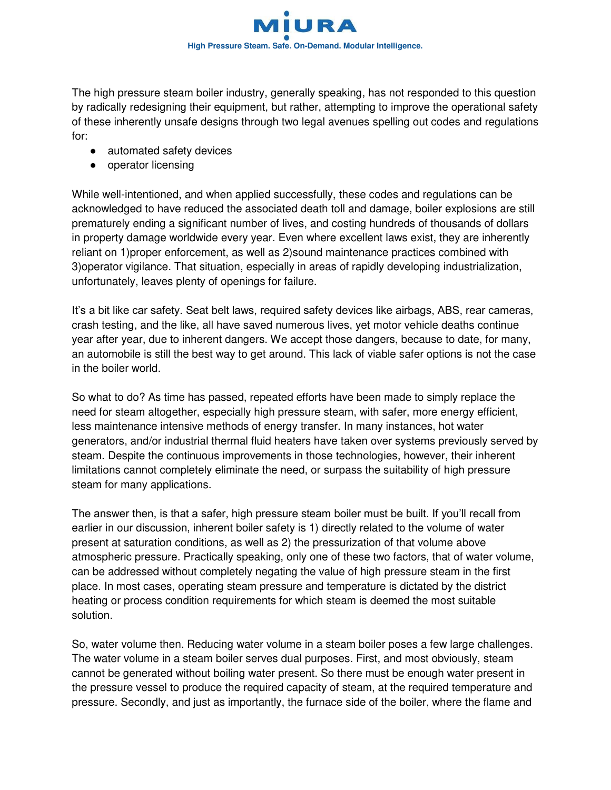

The high pressure steam boiler industry, generally speaking, has not responded to this question by radically redesigning their equipment, but rather, attempting to improve the operational safety of these inherently unsafe designs through two legal avenues spelling out codes and regulations for:

- automated safety devices
- operator licensing

While well-intentioned, and when applied successfully, these codes and regulations can be acknowledged to have reduced the associated death toll and damage, boiler explosions are still prematurely ending a significant number of lives, and costing hundreds of thousands of dollars in property damage worldwide every year. Even where excellent laws exist, they are inherently reliant on 1)proper enforcement, as well as 2)sound maintenance practices combined with 3)operator vigilance. That situation, especially in areas of rapidly developing industrialization, unfortunately, leaves plenty of openings for failure.

It's a bit like car safety. Seat belt laws, required safety devices like airbags, ABS, rear cameras, crash testing, and the like, all have saved numerous lives, yet motor vehicle deaths continue year after year, due to inherent dangers. We accept those dangers, because to date, for many, an automobile is still the best way to get around. This lack of viable safer options is not the case in the boiler world.

So what to do? As time has passed, repeated efforts have been made to simply replace the need for steam altogether, especially high pressure steam, with safer, more energy efficient, less maintenance intensive methods of energy transfer. In many instances, hot water generators, and/or industrial thermal fluid heaters have taken over systems previously served by steam. Despite the continuous improvements in those technologies, however, their inherent limitations cannot completely eliminate the need, or surpass the suitability of high pressure steam for many applications.

The answer then, is that a safer, high pressure steam boiler must be built. If you'll recall from earlier in our discussion, inherent boiler safety is 1) directly related to the volume of water present at saturation conditions, as well as 2) the pressurization of that volume above atmospheric pressure. Practically speaking, only one of these two factors, that of water volume, can be addressed without completely negating the value of high pressure steam in the first place. In most cases, operating steam pressure and temperature is dictated by the district heating or process condition requirements for which steam is deemed the most suitable solution.

So, water volume then. Reducing water volume in a steam boiler poses a few large challenges. The water volume in a steam boiler serves dual purposes. First, and most obviously, steam cannot be generated without boiling water present. So there must be enough water present in the pressure vessel to produce the required capacity of steam, at the required temperature and pressure. Secondly, and just as importantly, the furnace side of the boiler, where the flame and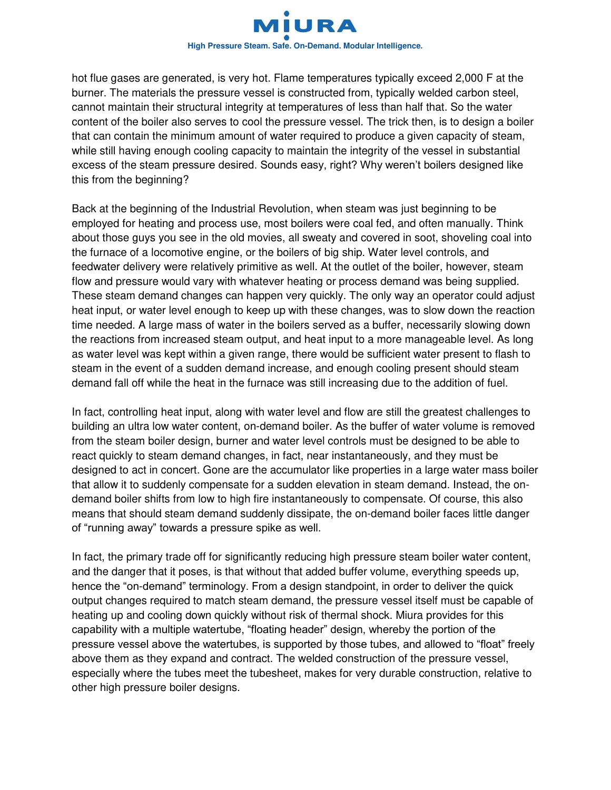

hot flue gases are generated, is very hot. Flame temperatures typically exceed 2,000 F at the burner. The materials the pressure vessel is constructed from, typically welded carbon steel, cannot maintain their structural integrity at temperatures of less than half that. So the water content of the boiler also serves to cool the pressure vessel. The trick then, is to design a boiler that can contain the minimum amount of water required to produce a given capacity of steam, while still having enough cooling capacity to maintain the integrity of the vessel in substantial excess of the steam pressure desired. Sounds easy, right? Why weren't boilers designed like this from the beginning?

Back at the beginning of the Industrial Revolution, when steam was just beginning to be employed for heating and process use, most boilers were coal fed, and often manually. Think about those guys you see in the old movies, all sweaty and covered in soot, shoveling coal into the furnace of a locomotive engine, or the boilers of big ship. Water level controls, and feedwater delivery were relatively primitive as well. At the outlet of the boiler, however, steam flow and pressure would vary with whatever heating or process demand was being supplied. These steam demand changes can happen very quickly. The only way an operator could adjust heat input, or water level enough to keep up with these changes, was to slow down the reaction time needed. A large mass of water in the boilers served as a buffer, necessarily slowing down the reactions from increased steam output, and heat input to a more manageable level. As long as water level was kept within a given range, there would be sufficient water present to flash to steam in the event of a sudden demand increase, and enough cooling present should steam demand fall off while the heat in the furnace was still increasing due to the addition of fuel.

In fact, controlling heat input, along with water level and flow are still the greatest challenges to building an ultra low water content, on-demand boiler. As the buffer of water volume is removed from the steam boiler design, burner and water level controls must be designed to be able to react quickly to steam demand changes, in fact, near instantaneously, and they must be designed to act in concert. Gone are the accumulator like properties in a large water mass boiler that allow it to suddenly compensate for a sudden elevation in steam demand. Instead, the ondemand boiler shifts from low to high fire instantaneously to compensate. Of course, this also means that should steam demand suddenly dissipate, the on-demand boiler faces little danger of "running away" towards a pressure spike as well.

In fact, the primary trade off for significantly reducing high pressure steam boiler water content, and the danger that it poses, is that without that added buffer volume, everything speeds up, hence the "on-demand" terminology. From a design standpoint, in order to deliver the quick output changes required to match steam demand, the pressure vessel itself must be capable of heating up and cooling down quickly without risk of thermal shock. Miura provides for this capability with a multiple watertube, "floating header" design, whereby the portion of the pressure vessel above the watertubes, is supported by those tubes, and allowed to "float" freely above them as they expand and contract. The welded construction of the pressure vessel, especially where the tubes meet the tubesheet, makes for very durable construction, relative to other high pressure boiler designs.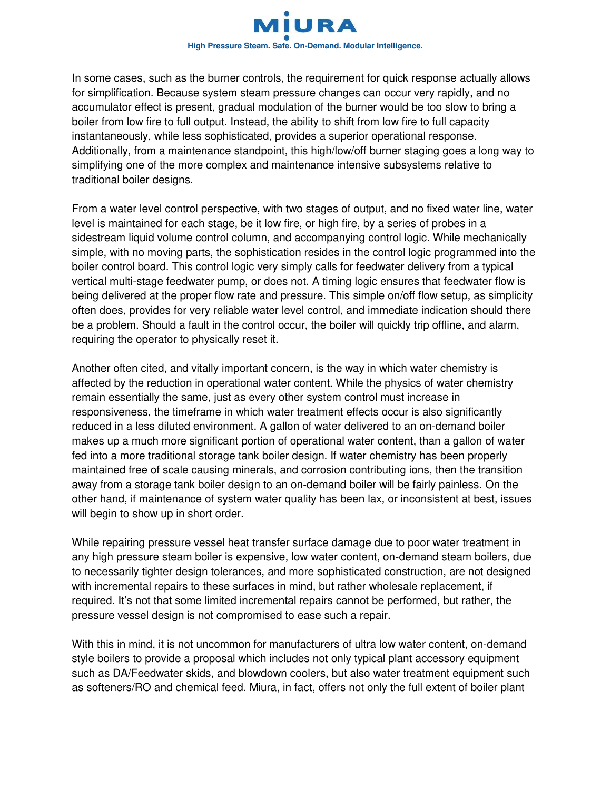

In some cases, such as the burner controls, the requirement for quick response actually allows for simplification. Because system steam pressure changes can occur very rapidly, and no accumulator effect is present, gradual modulation of the burner would be too slow to bring a boiler from low fire to full output. Instead, the ability to shift from low fire to full capacity instantaneously, while less sophisticated, provides a superior operational response. Additionally, from a maintenance standpoint, this high/low/off burner staging goes a long way to simplifying one of the more complex and maintenance intensive subsystems relative to traditional boiler designs.

From a water level control perspective, with two stages of output, and no fixed water line, water level is maintained for each stage, be it low fire, or high fire, by a series of probes in a sidestream liquid volume control column, and accompanying control logic. While mechanically simple, with no moving parts, the sophistication resides in the control logic programmed into the boiler control board. This control logic very simply calls for feedwater delivery from a typical vertical multi-stage feedwater pump, or does not. A timing logic ensures that feedwater flow is being delivered at the proper flow rate and pressure. This simple on/off flow setup, as simplicity often does, provides for very reliable water level control, and immediate indication should there be a problem. Should a fault in the control occur, the boiler will quickly trip offline, and alarm, requiring the operator to physically reset it.

Another often cited, and vitally important concern, is the way in which water chemistry is affected by the reduction in operational water content. While the physics of water chemistry remain essentially the same, just as every other system control must increase in responsiveness, the timeframe in which water treatment effects occur is also significantly reduced in a less diluted environment. A gallon of water delivered to an on-demand boiler makes up a much more significant portion of operational water content, than a gallon of water fed into a more traditional storage tank boiler design. If water chemistry has been properly maintained free of scale causing minerals, and corrosion contributing ions, then the transition away from a storage tank boiler design to an on-demand boiler will be fairly painless. On the other hand, if maintenance of system water quality has been lax, or inconsistent at best, issues will begin to show up in short order.

While repairing pressure vessel heat transfer surface damage due to poor water treatment in any high pressure steam boiler is expensive, low water content, on-demand steam boilers, due to necessarily tighter design tolerances, and more sophisticated construction, are not designed with incremental repairs to these surfaces in mind, but rather wholesale replacement, if required. It's not that some limited incremental repairs cannot be performed, but rather, the pressure vessel design is not compromised to ease such a repair.

With this in mind, it is not uncommon for manufacturers of ultra low water content, on-demand style boilers to provide a proposal which includes not only typical plant accessory equipment such as DA/Feedwater skids, and blowdown coolers, but also water treatment equipment such as softeners/RO and chemical feed. Miura, in fact, offers not only the full extent of boiler plant